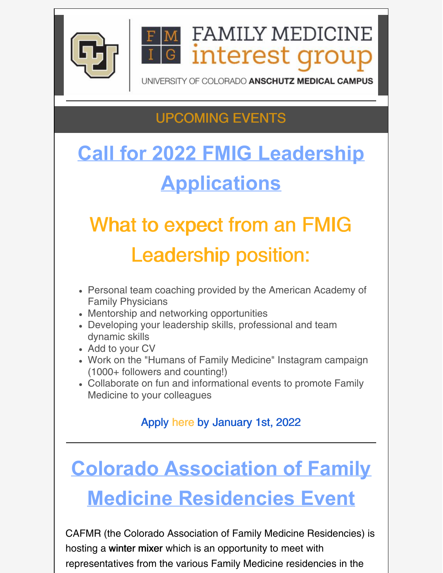

**FAMILY MEDICINE** interest grou

UNIVERSITY OF COLORADO ANSCHUTZ MEDICAL CAMPUS

# UPCOMING EVENTS

# **Call for 2022 FMIG Leadership Applications**

# What to expect from an FMIG Leadership position:

- Personal team coaching provided by the American Academy of Family Physicians
- Mentorship and networking opportunities
- Developing your leadership skills, professional and team dynamic skills
- Add to your CV
- Work on the "Humans of Family Medicine" Instagram campaign (1000+ followers and counting!)
- Collaborate on fun and informational events to promote Family Medicine to your colleagues

#### Apply [here](https://docs.google.com/forms/d/e/1FAIpQLSfk6i7pLeZu5jsIXSjYRv6SSu2XGucvm1waQDuwHauej4Tk1Q/viewform) by [J](https://ucdenver.zoom.us/j/94324358592)anuary 1st, 2022

# **Colorado Association of Family Medicine Residencies Event**

CAFMR (the Colorado Association of Family Medicine Residencies) is hosting a winter mixer which is an opportunity to meet with representatives from the various Family Medicine residencies in the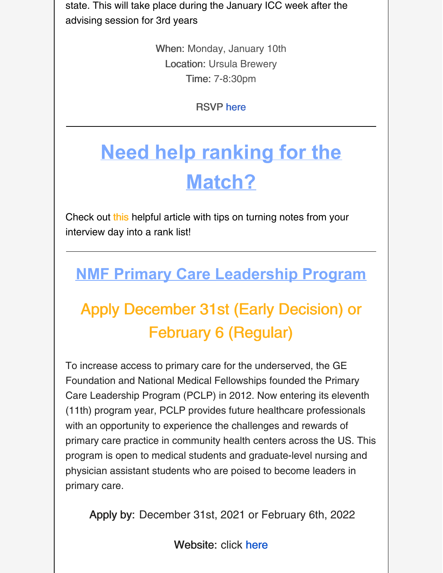state. This will take place during the January ICC week after the advising session for 3rd years

> When: Monday, January 10th Location: Ursula Brewery Time: 7-8:30pm

> > RSVP [here](https://www.surveymonkey.com/r/Jan10FMWinterMixer)

# **Need help ranking for the Match?**

Check out [this](https://www.aafp.org/news/education-professional-development/20211222matchqanda.html) helpful article with tips on turning notes from your interview day into a rank list!

## **NMF Primary Care Leadership Program**

# Apply December 31st (Early Decision) or February 6 (Regular)

To increase access to primary care for the underserved, the GE Foundation and National Medical Fellowships founded the Primary Care Leadership Program (PCLP) in 2012. Now entering its eleventh (11th) program year, PCLP provides future healthcare professionals with an opportunity to experience the challenges and rewards of primary care practice in community health centers across the US. This program is open to medical students and graduate-level nursing and physician assistant students who are poised to become leaders in primary care.

Apply by: December 31st, 2021 or February 6th, 2022

Website: click [here](https://nmfonline.org/about-our-scholarships-and-awards/service-learning-programs/nmf-primary-care-leadership-program/?utm_medium=email&utm_campaign=PCLP Opening NMF Scholarships  Programs - October 26 2021&utm_content=PCLP Opening NMF Scholarships  Programs - October 26 2021+Preview+CID_81aa272ae3e58816e64c3e6eadd99397&utm_source=Email marketing software&utm_term=The NMF Primary Care Leadership Program)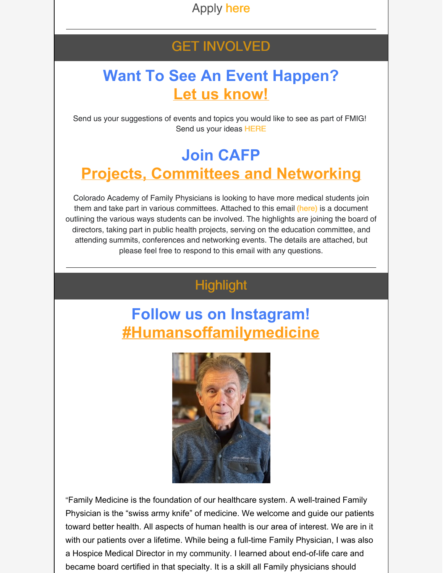Apply [here](https://nmf.smapply.io/)

#### GET INVOLVED

#### **Want To See An Event Happen? Let us know!**

Send us your suggestions of events and topics you would like to see as part of FMIG! Send us your ideas [HERE](https://forms.gle/6hGn9mDpepsrhQKG9)

### **Join CAFP Projects, Committees and Networking**

Colorado Academy of Family Physicians is looking to have more medical students join them and take part in various committees. Attached to this email [\(here\)](https://files.constantcontact.com/29e4ace2701/83161f45-7b2e-4370-a11c-4547d08ac705.docx?rdr=true) is a document outlining the various ways students can be involved. The highlights are joining the board of directors, taking part in public health projects, serving on the education committee, and attending summits, conferences and networking events. The details are attached, but please feel free to respond to this email with any questions.

#### **Highlight**

### **Follow us on Instagram! [#Humansoffamilymedicine](https://www.instagram.com/humansoffamilymedicine/)**



"Family Medicine is the foundation of our healthcare system. A well-trained Family Physician is the "swiss army knife" of medicine. We welcome and guide our patients toward better health. All aspects of human health is our area of interest. We are in it with our patients over a lifetime. While being a full-time Family Physician, I was also a Hospice Medical Director in my community. I learned about end-of-life care and became board certified in that specialty. It is a skill all Family physicians should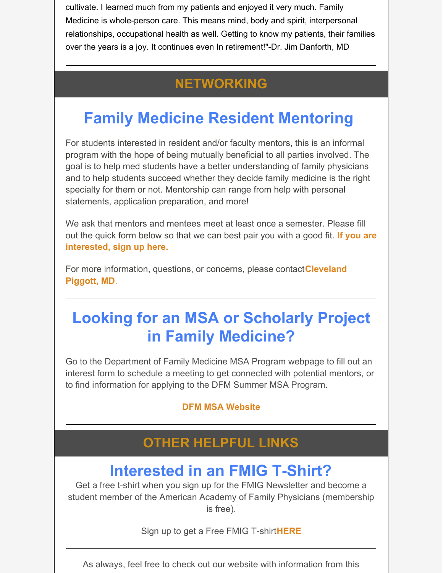cultivate. I learned much from my patients and enjoyed it very much. Family Medicine is whole-person care. This means mind, body and spirit, interpersonal relationships, occupational health as well. Getting to know my patients, their families over the years is a joy. It continues even In retirement!"-Dr. Jim Danforth, MD

#### **NETWORKING**

# **Family Medicine Resident Mentoring**

For students interested in resident and/or faculty mentors, this is an informal program with the hope of being mutually beneficial to all parties involved. The goal is to help med students have a better understanding of family physicians and to help students succeed whether they decide family medicine is the right specialty for them or not. Mentorship can range from help with personal statements, application preparation, and more!

We ask that mentors and mentees meet at least once a semester. Please fill out the quick form below so that we can best pair you with a good fit. **If you are [interested,](https://docs.google.com/forms/d/e/1FAIpQLSevbHXs2CWwKSZjpZNhmc22hHs9MJwb7s1D5aKo6FyfMQ7nXA/viewform?c=0&w=1) sign up here.**

For more [information,](mailto:cleveland.piggott@ucdenver.edu) questions, or concerns, please contact**Cleveland Piggott, MD**.

### **Looking for an MSA or Scholarly Project in Family Medicine?**

Go to the Department of Family Medicine MSA Program webpage to fill out an interest form to schedule a meeting to get connected with potential mentors, or to find information for applying to the DFM Summer MSA Program.

#### **DFM MSA [Website](https://medschool.cuanschutz.edu/family-medicine/education-and-training/undergraduate-medical-education/mentored-scholarly-activity)**

#### **OTHER HELPFUL LINKS**

### **Interested in an FMIG T-Shirt?**

Get a free t-shirt when you sign up for the FMIG Newsletter and become a student member of the American Academy of Family Physicians (membership is free).

Sign up to get a Free FMIG T-shirt**[HERE](https://forms.gle/QE5EBEzbwR2kt1Aq8)**

As always, feel free to check out our website with information from this